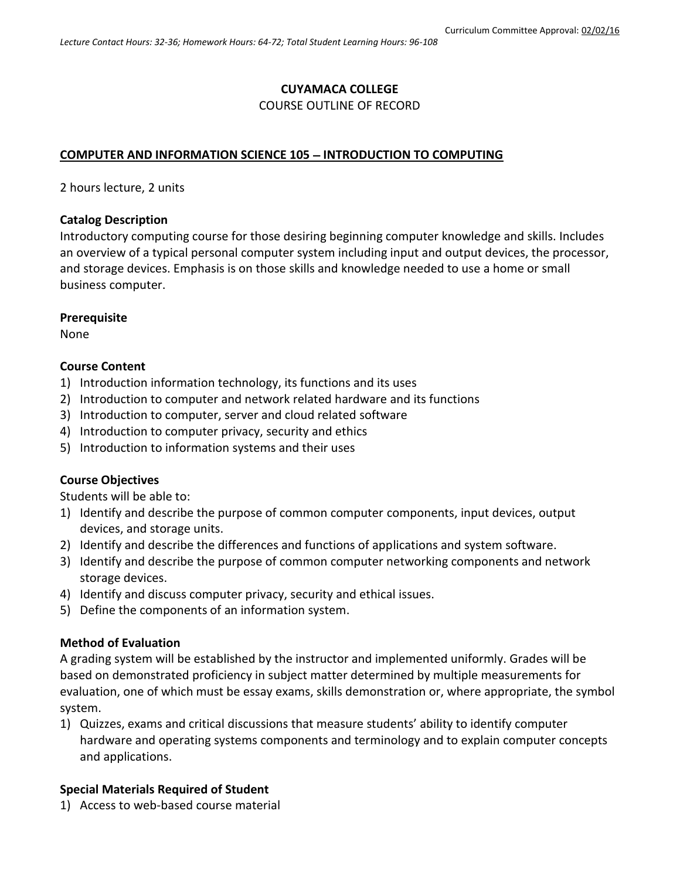# **CUYAMACA COLLEGE**

#### COURSE OUTLINE OF RECORD

## **COMPUTER AND INFORMATION SCIENCE 105 - INTRODUCTION TO COMPUTING**

2 hours lecture, 2 units

#### **Catalog Description**

Introductory computing course for those desiring beginning computer knowledge and skills. Includes an overview of a typical personal computer system including input and output devices, the processor, and storage devices. Emphasis is on those skills and knowledge needed to use a home or small business computer.

### **Prerequisite**

None

### **Course Content**

- 1) Introduction information technology, its functions and its uses
- 2) Introduction to computer and network related hardware and its functions
- 3) Introduction to computer, server and cloud related software
- 4) Introduction to computer privacy, security and ethics
- 5) Introduction to information systems and their uses

### **Course Objectives**

Students will be able to:

- 1) Identify and describe the purpose of common computer components, input devices, output devices, and storage units.
- 2) Identify and describe the differences and functions of applications and system software.
- 3) Identify and describe the purpose of common computer networking components and network storage devices.
- 4) Identify and discuss computer privacy, security and ethical issues.
- 5) Define the components of an information system.

### **Method of Evaluation**

A grading system will be established by the instructor and implemented uniformly. Grades will be based on demonstrated proficiency in subject matter determined by multiple measurements for evaluation, one of which must be essay exams, skills demonstration or, where appropriate, the symbol system.

1) Quizzes, exams and critical discussions that measure students' ability to identify computer hardware and operating systems components and terminology and to explain computer concepts and applications.

### **Special Materials Required of Student**

1) Access to web-based course material